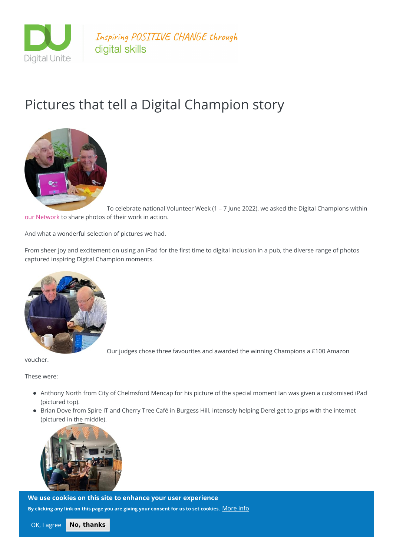

Inspiring POSITIVE CHANGE through digital skills

## Pictures that tell a Digital Champion story



To celebrate national Volunteer Week (1 – 7 June 2022), we asked the Digital Champions within our [Network](https://www.digitalunite.com/our-networks) to share photos of their work in action.

And what a wonderful selection of pictures we had.

From sheer joy and excitement on using an iPad for the first time to digital inclusion in a pub, the diverse range of photos captured inspiring Digital Champion moments.



Our judges chose three favourites and awarded the winning Champions a £100 Amazon

voucher.

These were:

- Anthony North from City of Chelmsford Mencap for his picture of the special moment Ian was given a customised iPad (pictured top).
- Brian Dove from Spire IT and Cherry Tree Café in Burgess Hill, intensely helping Derel get to grips with the internet (pictured in the middle).



Jonathan White at the On Your Way Job Club in Brighton, where people packed out a pub **We use cookies on this site to enhance your user experience** By clicking any link on this page you are giving your consent for us to set cookies.  $\underline{\text{More info}}$